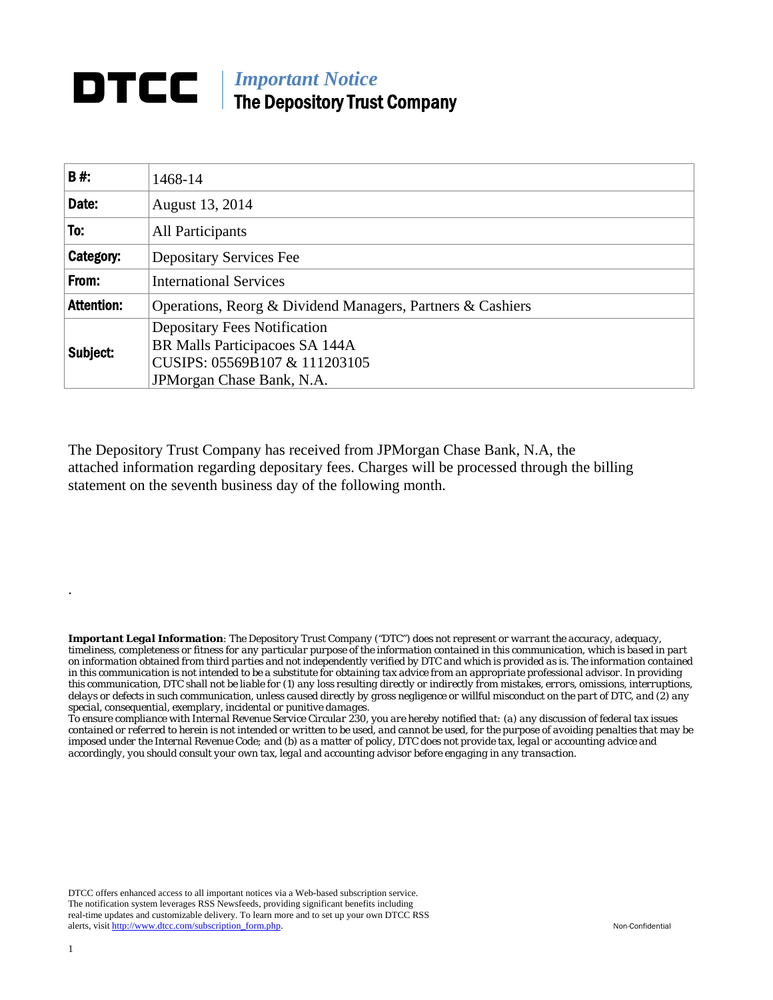## **DTCC** | *Important Notice* The Depository Trust Company

| <b>B#:</b>        | 1468-14                                                               |  |  |  |  |  |  |
|-------------------|-----------------------------------------------------------------------|--|--|--|--|--|--|
| Date:             | August 13, 2014                                                       |  |  |  |  |  |  |
| To:               | All Participants                                                      |  |  |  |  |  |  |
| Category:         | <b>Depositary Services Fee</b>                                        |  |  |  |  |  |  |
| From:             | <b>International Services</b>                                         |  |  |  |  |  |  |
| <b>Attention:</b> | Operations, Reorg & Dividend Managers, Partners & Cashiers            |  |  |  |  |  |  |
| Subject:          | <b>Depositary Fees Notification</b><br>BR Malls Participacoes SA 144A |  |  |  |  |  |  |
|                   | CUSIPS: 05569B107 & 111203105                                         |  |  |  |  |  |  |
|                   | JPM organ Chase Bank, N.A.                                            |  |  |  |  |  |  |

The Depository Trust Company has received from JPMorgan Chase Bank, N.A, the attached information regarding depositary fees. Charges will be processed through the billing statement on the seventh business day of the following month.

*Important Legal Information: The Depository Trust Company ("DTC") does not represent or warrant the accuracy, adequacy, timeliness, completeness or fitness for any particular purpose of the information contained in this communication, which is based in part on information obtained from third parties and not independently verified by DTC and which is provided as is. The information contained in this communication is not intended to be a substitute for obtaining tax advice from an appropriate professional advisor. In providing this communication, DTC shall not be liable for (1) any loss resulting directly or indirectly from mistakes, errors, omissions, interruptions, delays or defects in such communication, unless caused directly by gross negligence or willful misconduct on the part of DTC, and (2) any special, consequential, exemplary, incidental or punitive damages.* 

*To ensure compliance with Internal Revenue Service Circular 230, you are hereby notified that: (a) any discussion of federal tax issues contained or referred to herein is not intended or written to be used, and cannot be used, for the purpose of avoiding penalties that may be imposed under the Internal Revenue Code; and (b) as a matter of policy, DTC does not provide tax, legal or accounting advice and accordingly, you should consult your own tax, legal and accounting advisor before engaging in any transaction.*

DTCC offers enhanced access to all important notices via a Web-based subscription service. The notification system leverages RSS Newsfeeds, providing significant benefits including real-time updates and customizable delivery. To learn more and to set up your own DTCC RSS alerts, visit http://www.dtcc.com/subscription\_form.php. Non-Confidential

.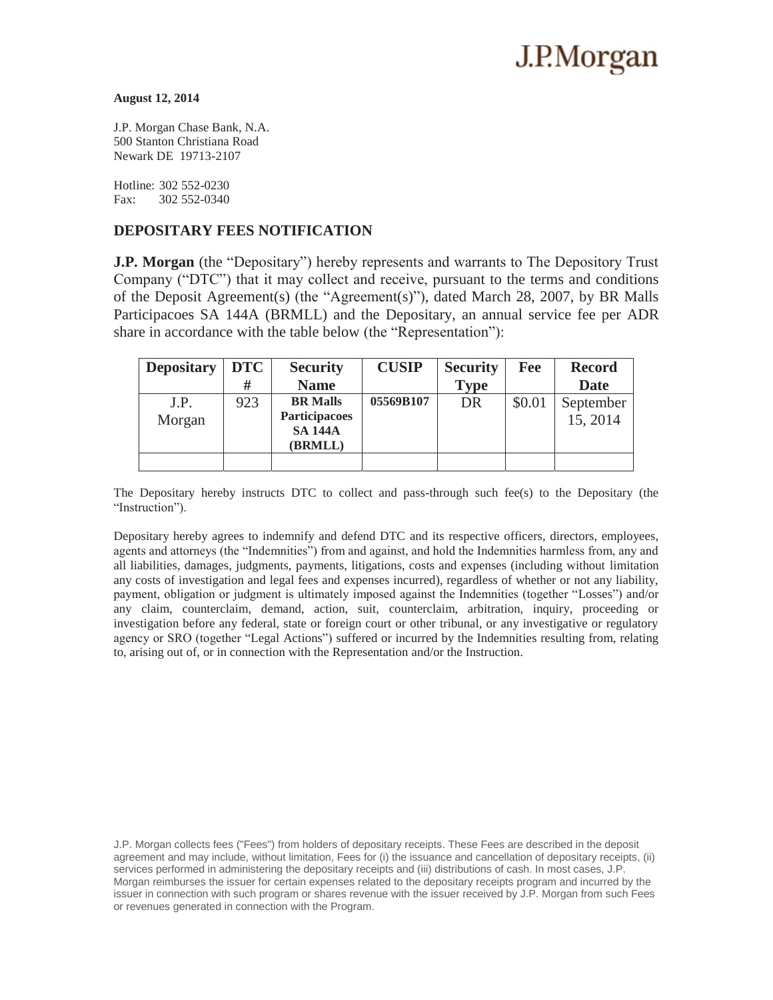# J.P.Morgan

#### **August 12, 2014**

J.P. Morgan Chase Bank, N.A. 500 Stanton Christiana Road Newark DE 19713-2107

Hotline: 302 552-0230 Fax: 302 552-0340

### **DEPOSITARY FEES NOTIFICATION**

**J.P. Morgan** (the "Depositary") hereby represents and warrants to The Depository Trust Company ("DTC") that it may collect and receive, pursuant to the terms and conditions of the Deposit Agreement(s) (the "Agreement(s)"), dated March 28, 2007, by BR Malls Participacoes SA 144A (BRMLL) and the Depositary, an annual service fee per ADR share in accordance with the table below (the "Representation"):

| <b>Depositary</b> | <b>DTC</b> | <b>Security</b>                                               | <b>CUSIP</b> | <b>Security</b> | Fee    | <b>Record</b>         |
|-------------------|------------|---------------------------------------------------------------|--------------|-----------------|--------|-----------------------|
|                   | #          | <b>Name</b>                                                   |              | <b>Type</b>     |        | <b>Date</b>           |
| J.P.<br>Morgan    | 923        | <b>BR</b> Malls<br>Participacoes<br><b>SA 144A</b><br>(BRMLL) | 05569B107    | DR              | \$0.01 | September<br>15, 2014 |
|                   |            |                                                               |              |                 |        |                       |

The Depositary hereby instructs DTC to collect and pass-through such fee(s) to the Depositary (the "Instruction").

Depositary hereby agrees to indemnify and defend DTC and its respective officers, directors, employees, agents and attorneys (the "Indemnities") from and against, and hold the Indemnities harmless from, any and all liabilities, damages, judgments, payments, litigations, costs and expenses (including without limitation any costs of investigation and legal fees and expenses incurred), regardless of whether or not any liability, payment, obligation or judgment is ultimately imposed against the Indemnities (together "Losses") and/or any claim, counterclaim, demand, action, suit, counterclaim, arbitration, inquiry, proceeding or investigation before any federal, state or foreign court or other tribunal, or any investigative or regulatory agency or SRO (together "Legal Actions") suffered or incurred by the Indemnities resulting from, relating to, arising out of, or in connection with the Representation and/or the Instruction.

J.P. Morgan collects fees ("Fees") from holders of depositary receipts. These Fees are described in the deposit agreement and may include, without limitation, Fees for (i) the issuance and cancellation of depositary receipts, (ii) services performed in administering the depositary receipts and (iii) distributions of cash. In most cases, J.P. Morgan reimburses the issuer for certain expenses related to the depositary receipts program and incurred by the issuer in connection with such program or shares revenue with the issuer received by J.P. Morgan from such Fees or revenues generated in connection with the Program.